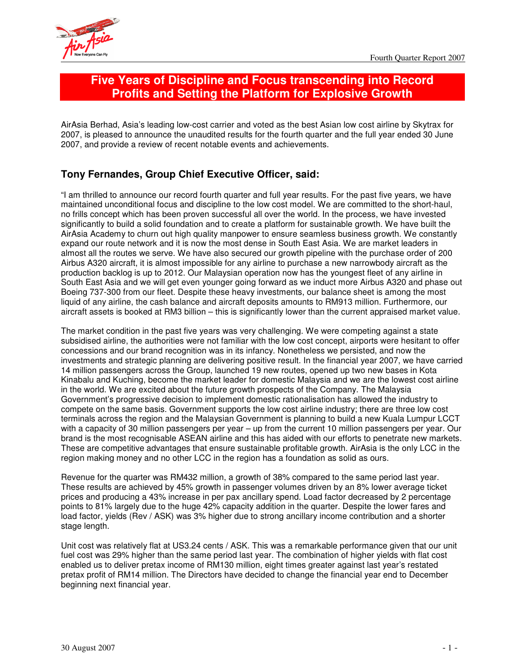

# **Five Years of Discipline and Focus transcending into Record Profits and Setting the Platform for Explosive Growth**

AirAsia Berhad, Asia's leading low-cost carrier and voted as the best Asian low cost airline by Skytrax for 2007, is pleased to announce the unaudited results for the fourth quarter and the full year ended 30 June 2007, and provide a review of recent notable events and achievements.

# **Tony Fernandes, Group Chief Executive Officer, said:**

"I am thrilled to announce our record fourth quarter and full year results. For the past five years, we have maintained unconditional focus and discipline to the low cost model. We are committed to the short-haul, no frills concept which has been proven successful all over the world. In the process, we have invested significantly to build a solid foundation and to create a platform for sustainable growth. We have built the AirAsia Academy to churn out high quality manpower to ensure seamless business growth. We constantly expand our route network and it is now the most dense in South East Asia. We are market leaders in almost all the routes we serve. We have also secured our growth pipeline with the purchase order of 200 Airbus A320 aircraft, it is almost impossible for any airline to purchase a new narrowbody aircraft as the production backlog is up to 2012. Our Malaysian operation now has the youngest fleet of any airline in South East Asia and we will get even younger going forward as we induct more Airbus A320 and phase out Boeing 737-300 from our fleet. Despite these heavy investments, our balance sheet is among the most liquid of any airline, the cash balance and aircraft deposits amounts to RM913 million. Furthermore, our aircraft assets is booked at RM3 billion – this is significantly lower than the current appraised market value.

The market condition in the past five years was very challenging. We were competing against a state subsidised airline, the authorities were not familiar with the low cost concept, airports were hesitant to offer concessions and our brand recognition was in its infancy. Nonetheless we persisted, and now the investments and strategic planning are delivering positive result. In the financial year 2007, we have carried 14 million passengers across the Group, launched 19 new routes, opened up two new bases in Kota Kinabalu and Kuching, become the market leader for domestic Malaysia and we are the lowest cost airline in the world. We are excited about the future growth prospects of the Company. The Malaysia Government's progressive decision to implement domestic rationalisation has allowed the industry to compete on the same basis. Government supports the low cost airline industry; there are three low cost terminals across the region and the Malaysian Government is planning to build a new Kuala Lumpur LCCT with a capacity of 30 million passengers per year – up from the current 10 million passengers per year. Our brand is the most recognisable ASEAN airline and this has aided with our efforts to penetrate new markets. These are competitive advantages that ensure sustainable profitable growth. AirAsia is the only LCC in the region making money and no other LCC in the region has a foundation as solid as ours.

Revenue for the quarter was RM432 million, a growth of 38% compared to the same period last year. These results are achieved by 45% growth in passenger volumes driven by an 8% lower average ticket prices and producing a 43% increase in per pax ancillary spend. Load factor decreased by 2 percentage points to 81% largely due to the huge 42% capacity addition in the quarter. Despite the lower fares and load factor, yields (Rev / ASK) was 3% higher due to strong ancillary income contribution and a shorter stage length.

Unit cost was relatively flat at US3.24 cents / ASK. This was a remarkable performance given that our unit fuel cost was 29% higher than the same period last year. The combination of higher yields with flat cost enabled us to deliver pretax income of RM130 million, eight times greater against last year's restated pretax profit of RM14 million. The Directors have decided to change the financial year end to December beginning next financial year.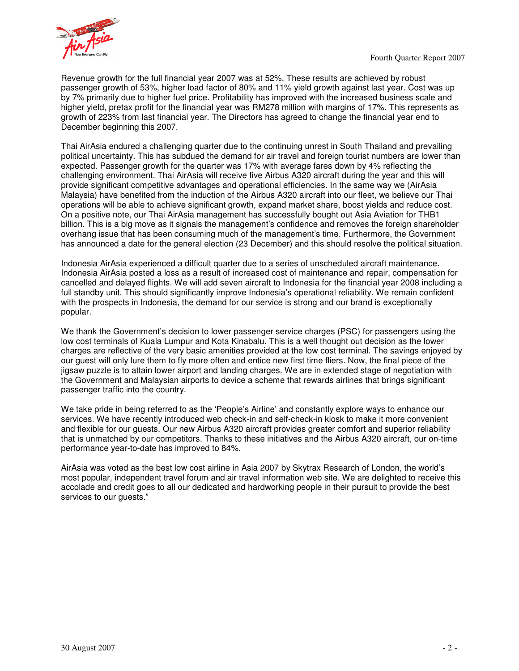



Revenue growth for the full financial year 2007 was at 52%. These results are achieved by robust passenger growth of 53%, higher load factor of 80% and 11% yield growth against last year. Cost was up by 7% primarily due to higher fuel price. Profitability has improved with the increased business scale and higher yield, pretax profit for the financial year was RM278 million with margins of 17%. This represents as growth of 223% from last financial year. The Directors has agreed to change the financial year end to December beginning this 2007.

Thai AirAsia endured a challenging quarter due to the continuing unrest in South Thailand and prevailing political uncertainty. This has subdued the demand for air travel and foreign tourist numbers are lower than expected. Passenger growth for the quarter was 17% with average fares down by 4% reflecting the challenging environment. Thai AirAsia will receive five Airbus A320 aircraft during the year and this will provide significant competitive advantages and operational efficiencies. In the same way we (AirAsia Malaysia) have benefited from the induction of the Airbus A320 aircraft into our fleet, we believe our Thai operations will be able to achieve significant growth, expand market share, boost yields and reduce cost. On a positive note, our Thai AirAsia management has successfully bought out Asia Aviation for THB1 billion. This is a big move as it signals the management's confidence and removes the foreign shareholder overhang issue that has been consuming much of the management's time. Furthermore, the Government has announced a date for the general election (23 December) and this should resolve the political situation.

Indonesia AirAsia experienced a difficult quarter due to a series of unscheduled aircraft maintenance. Indonesia AirAsia posted a loss as a result of increased cost of maintenance and repair, compensation for cancelled and delayed flights. We will add seven aircraft to Indonesia for the financial year 2008 including a full standby unit. This should significantly improve Indonesia's operational reliability. We remain confident with the prospects in Indonesia, the demand for our service is strong and our brand is exceptionally popular.

We thank the Government's decision to lower passenger service charges (PSC) for passengers using the low cost terminals of Kuala Lumpur and Kota Kinabalu. This is a well thought out decision as the lower charges are reflective of the very basic amenities provided at the low cost terminal. The savings enjoyed by our guest will only lure them to fly more often and entice new first time fliers. Now, the final piece of the jigsaw puzzle is to attain lower airport and landing charges. We are in extended stage of negotiation with the Government and Malaysian airports to device a scheme that rewards airlines that brings significant passenger traffic into the country.

We take pride in being referred to as the 'People's Airline' and constantly explore ways to enhance our services. We have recently introduced web check-in and self-check-in kiosk to make it more convenient and flexible for our guests. Our new Airbus A320 aircraft provides greater comfort and superior reliability that is unmatched by our competitors. Thanks to these initiatives and the Airbus A320 aircraft, our on-time performance year-to-date has improved to 84%.

AirAsia was voted as the best low cost airline in Asia 2007 by Skytrax Research of London, the world's most popular, independent travel forum and air travel information web site. We are delighted to receive this accolade and credit goes to all our dedicated and hardworking people in their pursuit to provide the best services to our guests."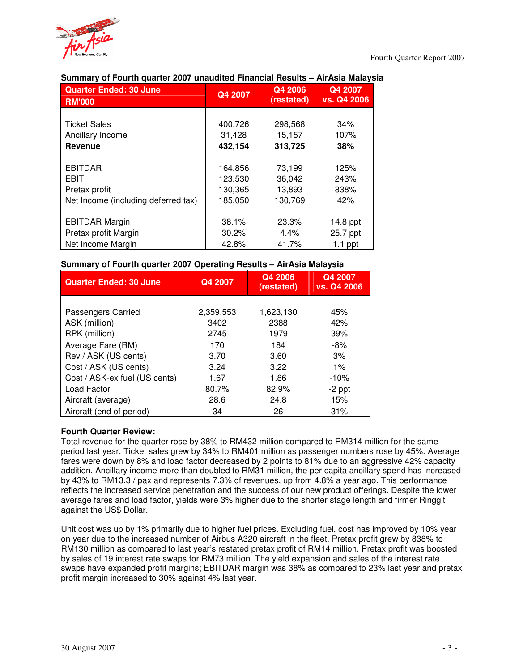

| <b>Quarter Ended: 30 June</b><br><b>RM'000</b> | Q4 2007  | Q4 2006<br>(restated) | Q4 2007<br>vs. Q4 2006 |
|------------------------------------------------|----------|-----------------------|------------------------|
|                                                |          |                       |                        |
| <b>Ticket Sales</b>                            | 400,726  | 298,568               | 34%                    |
| Ancillary Income                               | 31,428   | 15,157                | 107%                   |
| Revenue                                        | 432,154  | 313,725               | 38%                    |
|                                                |          |                       |                        |
| <b>EBITDAR</b>                                 | 164,856  | 73,199                | 125%                   |
| <b>EBIT</b>                                    | 123,530  | 36,042                | 243%                   |
| Pretax profit                                  | 130,365  | 13,893                | 838%                   |
| Net Income (including deferred tax)            | 185,050  | 130,769               | 42%                    |
|                                                |          |                       |                        |
| <b>EBITDAR Margin</b>                          | 38.1%    | 23.3%                 | 14.8 ppt               |
| Pretax profit Margin                           | $30.2\%$ | $4.4\%$               | 25.7 ppt               |
| Net Income Margin                              | 42.8%    | 41.7%                 | $1.1$ ppt              |

## **Summary of Fourth quarter 2007 unaudited Financial Results – AirAsia Malaysia**

## **Summary of Fourth quarter 2007 Operating Results – AirAsia Malaysia**

| <b>Quarter Ended: 30 June</b> | Q4 2007   | Q4 2006<br>(restated) | Q4 2007<br>vs. Q4 2006 |
|-------------------------------|-----------|-----------------------|------------------------|
|                               |           |                       |                        |
| Passengers Carried            | 2,359,553 | 1,623,130             | 45%                    |
| ASK (million)                 | 3402      | 2388                  | 42%                    |
| RPK (million)                 | 2745      | 1979                  | 39%                    |
| Average Fare (RM)             | 170       | 184                   | $-8%$                  |
| Rev / ASK (US cents)          | 3.70      | 3.60                  | 3%                     |
| Cost / ASK (US cents)         | 3.24      | 3.22                  | $1\%$                  |
| Cost / ASK-ex fuel (US cents) | 1.67      | 1.86                  | $-10%$                 |
| Load Factor                   | 80.7%     | 82.9%                 | $-2$ ppt               |
| Aircraft (average)            | 28.6      | 24.8                  | 15%                    |
| Aircraft (end of period)      | 34        | 26                    | 31%                    |

## **Fourth Quarter Review:**

Total revenue for the quarter rose by 38% to RM432 million compared to RM314 million for the same period last year. Ticket sales grew by 34% to RM401 million as passenger numbers rose by 45%. Average fares were down by 8% and load factor decreased by 2 points to 81% due to an aggressive 42% capacity addition. Ancillary income more than doubled to RM31 million, the per capita ancillary spend has increased by 43% to RM13.3 / pax and represents 7.3% of revenues, up from 4.8% a year ago. This performance reflects the increased service penetration and the success of our new product offerings. Despite the lower average fares and load factor, yields were 3% higher due to the shorter stage length and firmer Ringgit against the US\$ Dollar.

Unit cost was up by 1% primarily due to higher fuel prices. Excluding fuel, cost has improved by 10% year on year due to the increased number of Airbus A320 aircraft in the fleet. Pretax profit grew by 838% to RM130 million as compared to last year's restated pretax profit of RM14 million. Pretax profit was boosted by sales of 19 interest rate swaps for RM73 million. The yield expansion and sales of the interest rate swaps have expanded profit margins; EBITDAR margin was 38% as compared to 23% last year and pretax profit margin increased to 30% against 4% last year.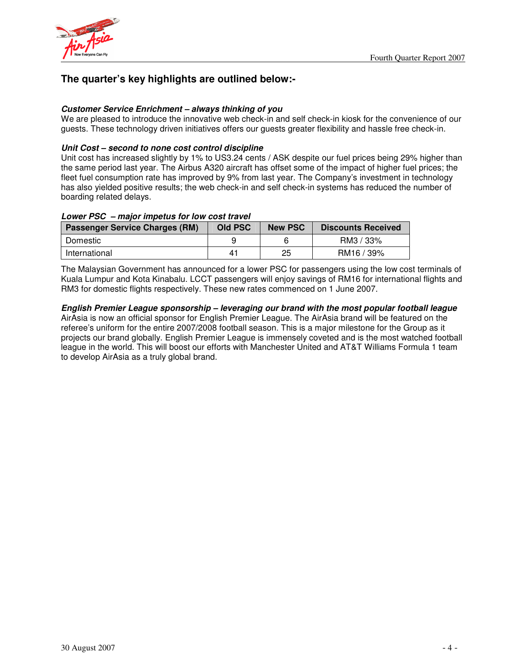



# **The quarter's key highlights are outlined below:-**

## *Customer Service Enrichment – always thinking of you*

We are pleased to introduce the innovative web check-in and self check-in kiosk for the convenience of our guests. These technology driven initiatives offers our guests greater flexibility and hassle free check-in.

### *Unit Cost – second to none cost control discipline*

Unit cost has increased slightly by 1% to US3.24 cents / ASK despite our fuel prices being 29% higher than the same period last year. The Airbus A320 aircraft has offset some of the impact of higher fuel prices; the fleet fuel consumption rate has improved by 9% from last year. The Company's investment in technology has also yielded positive results; the web check-in and self check-in systems has reduced the number of boarding related delays.

## *Lower PSC – major impetus for low cost travel*

| <b>Passenger Service Charges (RM)</b> | <b>Old PSC</b> | <b>New PSC</b> | <b>Discounts Received</b> |
|---------------------------------------|----------------|----------------|---------------------------|
| Domestic                              |                |                | RM3 / 33%                 |
| International                         | 41             | 25             | RM16 / 39%                |

The Malaysian Government has announced for a lower PSC for passengers using the low cost terminals of Kuala Lumpur and Kota Kinabalu. LCCT passengers will enjoy savings of RM16 for international flights and RM3 for domestic flights respectively. These new rates commenced on 1 June 2007.

## *English Premier League sponsorship – leveraging our brand with the most popular football league*

AirAsia is now an official sponsor for English Premier League. The AirAsia brand will be featured on the referee's uniform for the entire 2007/2008 football season. This is a major milestone for the Group as it projects our brand globally. English Premier League is immensely coveted and is the most watched football league in the world. This will boost our efforts with Manchester United and AT&T Williams Formula 1 team to develop AirAsia as a truly global brand.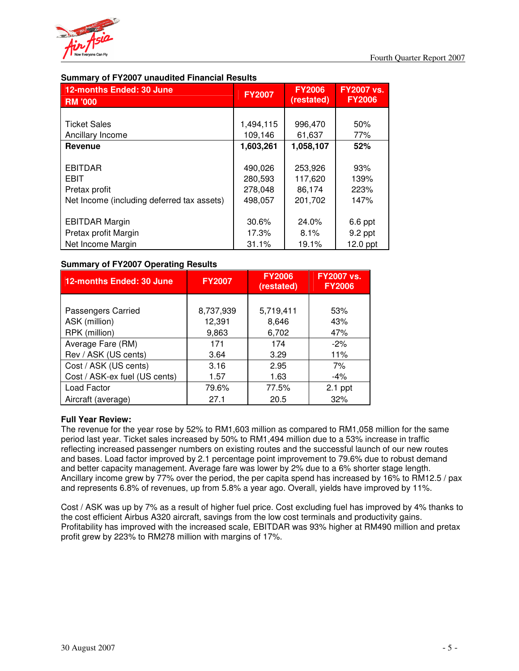

## **Summary of FY2007 unaudited Financial Results**

| 12-months Ended: 30 June<br><b>RM '000</b>                                                   | <b>FY2007</b>                            | <b>FY2006</b><br>(restated)             | <b>FY2007 vs.</b><br><b>FY2006</b> |
|----------------------------------------------------------------------------------------------|------------------------------------------|-----------------------------------------|------------------------------------|
| <b>Ticket Sales</b>                                                                          | 1,494,115                                | 996,470                                 | 50%                                |
| Ancillary Income                                                                             | 109,146                                  | 61,637                                  | 77%                                |
| Revenue                                                                                      | 1,603,261                                | 1,058,107                               | 52%                                |
| <b>EBITDAR</b><br><b>EBIT</b><br>Pretax profit<br>Net Income (including deferred tax assets) | 490,026<br>280,593<br>278,048<br>498,057 | 253,926<br>117,620<br>86,174<br>201,702 | 93%<br>139%<br>223%<br>147%        |
| <b>EBITDAR Margin</b><br>Pretax profit Margin                                                | 30.6%<br>17.3%                           | 24.0%<br>8.1%                           | 6.6 ppt<br>9.2 ppt                 |
| Net Income Margin                                                                            | 31.1%                                    | 19.1%                                   | $12.0$ ppt                         |

## **Summary of FY2007 Operating Results**

| <b>12-months Ended: 30 June</b> | <b>FY2007</b> | <b>FY2006</b><br>(restated) | <b>FY2007 vs.</b><br><b>FY2006</b> |
|---------------------------------|---------------|-----------------------------|------------------------------------|
|                                 |               |                             |                                    |
| <b>Passengers Carried</b>       | 8,737,939     | 5,719,411                   | 53%                                |
| ASK (million)                   | 12,391        | 8,646                       | 43%                                |
| RPK (million)                   | 9,863         | 6,702                       | 47%                                |
| Average Fare (RM)               | 171           | 174                         | $-2%$                              |
| Rev / ASK (US cents)            | 3.64          | 3.29                        | 11%                                |
| Cost / ASK (US cents)           | 3.16          | 2.95                        | 7%                                 |
| Cost / ASK-ex fuel (US cents)   | 1.57          | 1.63                        | $-4\%$                             |
| Load Factor                     | 79.6%         | 77.5%                       | $2.1$ ppt                          |
| Aircraft (average)              | 27.1          | 20.5                        | 32%                                |

## **Full Year Review:**

The revenue for the year rose by 52% to RM1,603 million as compared to RM1,058 million for the same period last year. Ticket sales increased by 50% to RM1,494 million due to a 53% increase in traffic reflecting increased passenger numbers on existing routes and the successful launch of our new routes and bases. Load factor improved by 2.1 percentage point improvement to 79.6% due to robust demand and better capacity management. Average fare was lower by 2% due to a 6% shorter stage length. Ancillary income grew by 77% over the period, the per capita spend has increased by 16% to RM12.5 / pax and represents 6.8% of revenues, up from 5.8% a year ago. Overall, yields have improved by 11%.

Cost / ASK was up by 7% as a result of higher fuel price. Cost excluding fuel has improved by 4% thanks to the cost efficient Airbus A320 aircraft, savings from the low cost terminals and productivity gains. Profitability has improved with the increased scale, EBITDAR was 93% higher at RM490 million and pretax profit grew by 223% to RM278 million with margins of 17%.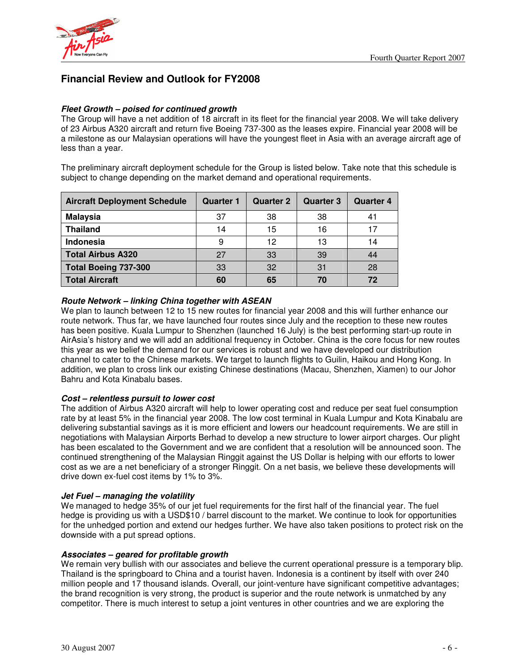

# **Financial Review and Outlook for FY2008**

### *Fleet Growth – poised for continued growth*

The Group will have a net addition of 18 aircraft in its fleet for the financial year 2008. We will take delivery of 23 Airbus A320 aircraft and return five Boeing 737-300 as the leases expire. Financial year 2008 will be a milestone as our Malaysian operations will have the youngest fleet in Asia with an average aircraft age of less than a year.

The preliminary aircraft deployment schedule for the Group is listed below. Take note that this schedule is subject to change depending on the market demand and operational requirements.

| <b>Aircraft Deployment Schedule</b> | <b>Quarter 1</b> | <b>Quarter 2</b> | <b>Quarter 3</b> | <b>Quarter 4</b> |
|-------------------------------------|------------------|------------------|------------------|------------------|
| <b>Malaysia</b>                     | 37               | 38               | 38               | 41               |
| <b>Thailand</b>                     | 14               | 15               | 16               |                  |
| <b>Indonesia</b>                    | 9                | 12               | 13               | 14               |
| <b>Total Airbus A320</b>            | 27               | 33               | 39               | 44               |
| Total Boeing 737-300                | 33               | 32               | 31               | 28               |
| <b>Total Aircraft</b>               | 60               | 65               | 70               | 72               |

### *Route Network – linking China together with ASEAN*

We plan to launch between 12 to 15 new routes for financial year 2008 and this will further enhance our route network. Thus far, we have launched four routes since July and the reception to these new routes has been positive. Kuala Lumpur to Shenzhen (launched 16 July) is the best performing start-up route in AirAsia's history and we will add an additional frequency in October. China is the core focus for new routes this year as we belief the demand for our services is robust and we have developed our distribution channel to cater to the Chinese markets. We target to launch flights to Guilin, Haikou and Hong Kong. In addition, we plan to cross link our existing Chinese destinations (Macau, Shenzhen, Xiamen) to our Johor Bahru and Kota Kinabalu bases.

#### *Cost – relentless pursuit to lower cost*

The addition of Airbus A320 aircraft will help to lower operating cost and reduce per seat fuel consumption rate by at least 5% in the financial year 2008. The low cost terminal in Kuala Lumpur and Kota Kinabalu are delivering substantial savings as it is more efficient and lowers our headcount requirements. We are still in negotiations with Malaysian Airports Berhad to develop a new structure to lower airport charges. Our plight has been escalated to the Government and we are confident that a resolution will be announced soon. The continued strengthening of the Malaysian Ringgit against the US Dollar is helping with our efforts to lower cost as we are a net beneficiary of a stronger Ringgit. On a net basis, we believe these developments will drive down ex-fuel cost items by 1% to 3%.

#### *Jet Fuel – managing the volatility*

We managed to hedge 35% of our jet fuel requirements for the first half of the financial year. The fuel hedge is providing us with a USD\$10 / barrel discount to the market. We continue to look for opportunities for the unhedged portion and extend our hedges further. We have also taken positions to protect risk on the downside with a put spread options.

#### *Associates – geared for profitable growth*

We remain very bullish with our associates and believe the current operational pressure is a temporary blip. Thailand is the springboard to China and a tourist haven. Indonesia is a continent by itself with over 240 million people and 17 thousand islands. Overall, our joint-venture have significant competitive advantages; the brand recognition is very strong, the product is superior and the route network is unmatched by any competitor. There is much interest to setup a joint ventures in other countries and we are exploring the